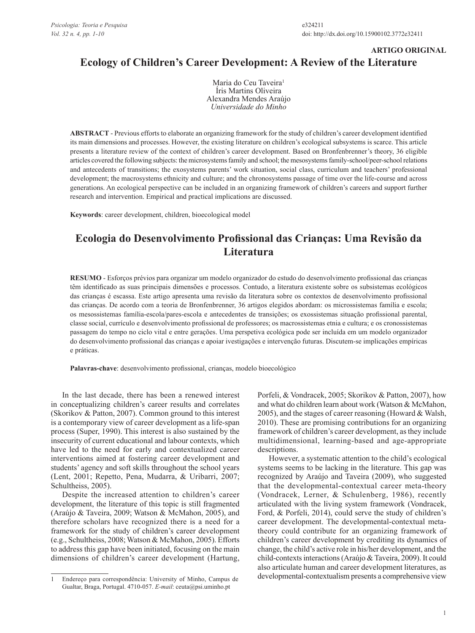**ARTIGO ORIGINAL**

# **Ecology of Children's Career Development: A Review of the Literature**

Maria do Ceu Taveira<sup>1</sup> Íris Martins Oliveira Alexandra Mendes Araújo *Universidade do Minho*

**ABSTRACT** - Previous efforts to elaborate an organizing framework for the study of children's career development identified its main dimensions and processes. However, the existing literature on children's ecological subsystems is scarce. This article presents a literature review of the context of children's career development. Based on Bronfenbrenner's theory, 36 eligible articles covered the following subjects: the microsystems family and school; the mesosystems family-school/peer-school relations and antecedents of transitions; the exosystems parents' work situation, social class, curriculum and teachers' professional development; the macrosystems ethnicity and culture; and the chronosystems passage of time over the life-course and across generations. An ecological perspective can be included in an organizing framework of children's careers and support further research and intervention. Empirical and practical implications are discussed.

**Keywords**: career development, children, bioecological model

# **Ecologia do Desenvolvimento Profissional das Crianças: Uma Revisão da Literatura**

**RESUMO** - Esforços prévios para organizar um modelo organizador do estudo do desenvolvimento profissional das crianças têm identificado as suas principais dimensões e processos. Contudo, a literatura existente sobre os subsistemas ecológicos das crianças é escassa. Este artigo apresenta uma revisão da literatura sobre os contextos de desenvolvimento profissional das crianças. De acordo com a teoria de Bronfenbrenner, 36 artigos elegidos abordam: os microssistemas família e escola; os mesossistemas família-escola/pares-escola e antecedentes de transições; os exossistemas situação profissional parental, classe social, currículo e desenvolvimento profissional de professores; os macrossistemas etnia e cultura; e os cronossistemas passagem do tempo no ciclo vital e entre gerações. Uma perspetiva ecológica pode ser incluída em um modelo organizador do desenvolvimento profissional das crianças e apoiar ivestigações e intervenção futuras. Discutem-se implicações empíricas e práticas.

**Palavras-chave**: desenvolvimento profissional, crianças, modelo bioecológico

In the last decade, there has been a renewed interest in conceptualizing children's career results and correlates (Skorikov & Patton, 2007). Common ground to this interest is a contemporary view of career development as a life-span process (Super, 1990). This interest is also sustained by the insecurity of current educational and labour contexts, which have led to the need for early and contextualized career interventions aimed at fostering career development and students' agency and soft skills throughout the school years (Lent, 2001; Repetto, Pena, Mudarra, & Uribarri, 2007; Schultheiss, 2005).

Despite the increased attention to children's career development, the literature of this topic is still fragmented (Araújo & Taveira, 2009; Watson & McMahon, 2005), and therefore scholars have recognized there is a need for a framework for the study of children's career development (e.g., Schultheiss, 2008; Watson & McMahon, 2005). Efforts to address this gap have been initiated, focusing on the main dimensions of children's career development (Hartung, Porfeli, & Vondracek, 2005; Skorikov & Patton, 2007), how and what do children learn about work (Watson & McMahon, 2005), and the stages of career reasoning (Howard & Walsh, 2010). These are promising contributions for an organizing framework of children's career development, as they include multidimensional, learning-based and age-appropriate descriptions.

However, a systematic attention to the child's ecological systems seems to be lacking in the literature. This gap was recognized by Araújo and Taveira (2009), who suggested that the developmental-contextual career meta-theory (Vondracek, Lerner, & Schulenberg, 1986), recently articulated with the living system framework (Vondracek, Ford, & Porfeli, 2014), could serve the study of children's career development. The developmental-contextual metatheory could contribute for an organizing framework of children's career development by crediting its dynamics of change, the child's active role in his/her development, and the child-contexts interactions (Araújo & Taveira, 2009). It could also articulate human and career development literatures, as developmental-contextualism presents a comprehensive view

<sup>1</sup> Endereço para correspondência: University of Minho, Campus de Gualtar, Braga, Portugal. 4710-057. *E-mail*: ceuta@psi.uminho.pt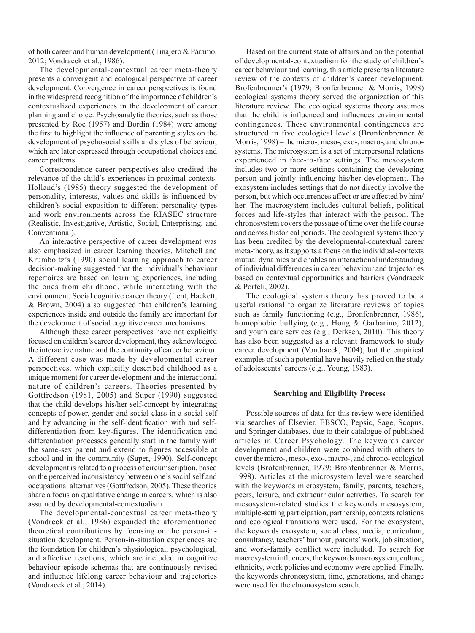of both career and human development (Tinajero & Páramo, 2012; Vondracek et al., 1986).

The developmental-contextual career meta-theory presents a convergent and ecological perspective of career development. Convergence in career perspectives is found in the widespread recognition of the importance of children's contextualized experiences in the development of career planning and choice. Psychoanalytic theories, such as those presented by Roe (1957) and Bordin (1984) were among the first to highlight the influence of parenting styles on the development of psychosocial skills and styles of behaviour, which are later expressed through occupational choices and career patterns.

Correspondence career perspectives also credited the relevance of the child's experiences in proximal contexts. Holland's (1985) theory suggested the development of personality, interests, values and skills is influenced by children's social exposition to different personality types and work environments across the RIASEC structure (Realistic, Investigative, Artistic, Social, Enterprising, and Conventional).

An interactive perspective of career development was also emphasized in career learning theories. Mitchell and Krumboltz's (1990) social learning approach to career decision-making suggested that the individual's behaviour repertoires are based on learning experiences, including the ones from childhood, while interacting with the environment. Social cognitive career theory (Lent, Hackett, & Brown, 2004) also suggested that children's learning experiences inside and outside the family are important for the development of social cognitive career mechanisms.

Although these career perspectives have not explicitly focused on children's career development, they acknowledged the interactive nature and the continuity of career behaviour. A different case was made by developmental career perspectives, which explicitly described childhood as a unique moment for career development and the interactional nature of children's careers. Theories presented by Gottfredson (1981, 2005) and Super (1990) suggested that the child develops his/her self-concept by integrating concepts of power, gender and social class in a social self and by advancing in the self-identification with and selfdifferentiation from key-figures. The identification and differentiation processes generally start in the family with the same-sex parent and extend to figures accessible at school and in the community (Super, 1990). Self-concept development is related to a process of circumscription, based on the perceived inconsistency between one's social self and occupational alternatives (Gottfredson, 2005). These theories share a focus on qualitative change in careers, which is also assumed by developmental-contextualism.

The developmental-contextual career meta-theory (Vondrcek et al., 1986) expanded the aforementioned theoretical contributions by focusing on the person-insituation development. Person-in-situation experiences are the foundation for children's physiological, psychological, and affective reactions, which are included in cognitive behaviour episode schemas that are continuously revised and influence lifelong career behaviour and trajectories (Vondracek et al., 2014).

Based on the current state of affairs and on the potential of developmental-contextualism for the study of children's career behaviour and learning, this article presents a literature review of the contexts of children's career development. Brofenbrenner's (1979; Bronfenbrenner & Morris, 1998) ecological systems theory served the organization of this literature review. The ecological systems theory assumes that the child is influenced and influences environmental contingences. These environmental contingences are structured in five ecological levels (Bronfenbrenner & Morris, 1998) – the micro-, meso-, exo-, macro-, and chronosystems. The microsystem is a set of interpersonal relations experienced in face-to-face settings. The mesosystem includes two or more settings containing the developing person and jointly influencing his/her development. The exosystem includes settings that do not directly involve the person, but which occurrences affect or are affected by him/ her. The macrosystem includes cultural beliefs, political forces and life-styles that interact with the person. The chronosystem covers the passage of time over the life course and across historical periods. The ecological systems theory has been credited by the developmental-contextual career meta-theory, as it supports a focus on the individual-contexts mutual dynamics and enables an interactional understanding of individual differences in career behaviour and trajectories based on contextual opportunities and barriers (Vondracek & Porfeli, 2002).

The ecological systems theory has proved to be a useful rational to organize literature reviews of topics such as family functioning (e.g., Bronfenbrenner, 1986), homophobic bullying (e.g., Hong & Garbarino, 2012), and youth care services (e.g., Derksen, 2010). This theory has also been suggested as a relevant framework to study career development (Vondracek, 2004), but the empirical examples of such a potential have heavily relied on the study of adolescents' careers (e.g., Young, 1983).

#### **Searching and Eligibility Process**

Possible sources of data for this review were identified via searches of Elsevier, EBSCO, Pepsic, Sage, Scopus, and Springer databases, due to their catalogue of published articles in Career Psychology. The keywords career development and children were combined with others to cover the micro-, meso-, exo-, macro-, and chrono- ecological levels (Brofenbrenner, 1979; Bronfenbrenner & Morris, 1998). Articles at the microsystem level were searched with the keywords microsystem, family, parents, teachers, peers, leisure, and extracurricular activities. To search for mesosystem-related studies the keywords mesosystem, multiple-setting participation, partnership, contexts relations and ecological transitions were used. For the exosystem, the keywords exosystem, social class, media, curriculum, consultancy, teachers' burnout, parents' work, job situation, and work-family conflict were included. To search for macrosystem influences, the keywords macrosystem, culture, ethnicity, work policies and economy were applied. Finally, the keywords chronosystem, time, generations, and change were used for the chronosystem search.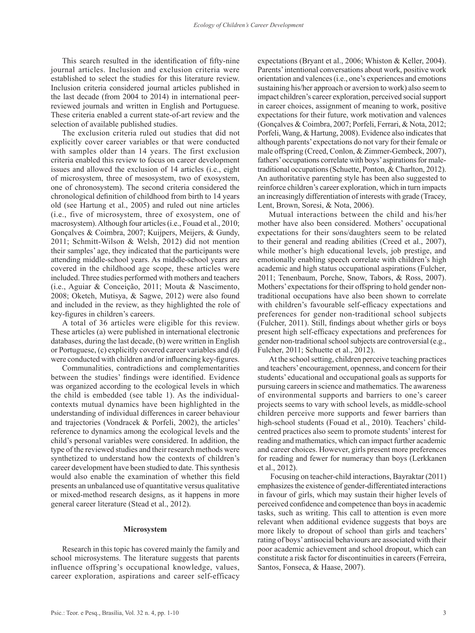This search resulted in the identification of fifty-nine journal articles. Inclusion and exclusion criteria were established to select the studies for this literature review. Inclusion criteria considered journal articles published in the last decade (from 2004 to 2014) in international peerreviewed journals and written in English and Portuguese. These criteria enabled a current state-of-art review and the selection of available published studies.

The exclusion criteria ruled out studies that did not explicitly cover career variables or that were conducted with samples older than 14 years. The first exclusion criteria enabled this review to focus on career development issues and allowed the exclusion of 14 articles (i.e., eight of microsystem, three of mesosystem, two of exosystem, one of chronosystem). The second criteria considered the chronological definition of childhood from birth to 14 years old (see Hartung et al., 2005) and ruled out nine articles (i.e., five of microsystem, three of exosystem, one of macrosystem). Although four articles (i.e., Fouad et al., 2010; Gonçalves & Coimbra, 2007; Kuijpers, Meijers, & Gundy, 2011; Schmitt-Wilson & Welsh, 2012) did not mention their samples' age, they indicated that the participants were attending middle-school years. As middle-school years are covered in the childhood age scope, these articles were included. Three studies performed with mothers and teachers (i.e., Aguiar & Conceição, 2011; Mouta & Nascimento, 2008; Oketch, Mutisya, & Sagwe, 2012) were also found and included in the review, as they highlighted the role of key-figures in children's careers.

A total of 36 articles were eligible for this review. These articles (a) were published in international electronic databases, during the last decade, (b) were written in English or Portuguese, (c) explicitly covered career variables and (d) were conducted with children and/or influencing key-figures.

Communalities, contradictions and complementarities between the studies' findings were identified. Evidence was organized according to the ecological levels in which the child is embedded (see table 1). As the individualcontexts mutual dynamics have been highlighted in the understanding of individual differences in career behaviour and trajectories (Vondracek & Porfeli, 2002), the articles' reference to dynamics among the ecological levels and the child's personal variables were considered. In addition, the type of the reviewed studies and their research methods were synthetized to understand how the contexts of children's career development have been studied to date. This synthesis would also enable the examination of whether this field presents an unbalanced use of quantitative versus qualitative or mixed-method research designs, as it happens in more general career literature (Stead et al., 2012).

#### **Microsystem**

Research in this topic has covered mainly the family and school microsystems. The literature suggests that parents influence offspring's occupational knowledge, values, career exploration, aspirations and career self-efficacy expectations (Bryant et al., 2006; Whiston & Keller, 2004). Parents' intentional conversations about work, positive work orientation and valences (i.e., one's experiences and emotions sustaining his/her approach or aversion to work) also seem to impact children's career exploration, perceived social support in career choices, assignment of meaning to work, positive expectations for their future, work motivation and valences (Gonçalves & Coimbra, 2007; Porfeli, Ferrari, & Nota, 2012; Porfeli, Wang, & Hartung, 2008). Evidence also indicates that although parents' expectations do not vary for their female or male offspring (Creed, Conlon, & Zimmer-Gembeck, 2007), fathers' occupations correlate with boys' aspirations for maletraditional occupations (Schuette, Ponton, & Charlton, 2012). An authoritative parenting style has been also suggested to reinforce children's career exploration, which in turn impacts an increasingly differentiation of interests with grade (Tracey, Lent, Brown, Soresi, & Nota, 2006).

Mutual interactions between the child and his/her mother have also been considered. Mothers' occupational expectations for their sons/daughters seem to be related to their general and reading abilities (Creed et al., 2007), while mother's high educational levels, job prestige, and emotionally enabling speech correlate with children's high academic and high status occupational aspirations (Fulcher, 2011; Tenenbaum, Porche, Snow, Tabors, & Ross, 2007). Mothers' expectations for their offspring to hold gender nontraditional occupations have also been shown to correlate with children's favourable self-efficacy expectations and preferences for gender non-traditional school subjects (Fulcher, 2011). Still, findings about whether girls or boys present high self-efficacy expectations and preferences for gender non-traditional school subjects are controversial (e.g., Fulcher, 2011; Schuette et al., 2012).

At the school setting, children perceive teaching practices and teachers' encouragement, openness, and concern for their students' educational and occupational goals as supports for pursuing careers in science and mathematics. The awareness of environmental supports and barriers to one's career projects seems to vary with school levels, as middle-school children perceive more supports and fewer barriers than high-school students (Fouad et al., 2010). Teachers' childcentred practices also seem to promote students' interest for reading and mathematics, which can impact further academic and career choices. However, girls present more preferences for reading and fewer for numeracy than boys (Lerkkanen et al., 2012).

 Focusing on teacher-child interactions, Bayraktar (2011) emphasizes the existence of gender-differentiated interactions in favour of girls, which may sustain their higher levels of perceived confidence and competence than boys in academic tasks, such as writing. This call to attention is even more relevant when additional evidence suggests that boys are more likely to dropout of school than girls and teachers' rating of boys' antisocial behaviours are associated with their poor academic achievement and school dropout, which can constitute a risk factor for discontinuities in careers (Ferreira, Santos, Fonseca, & Haase, 2007).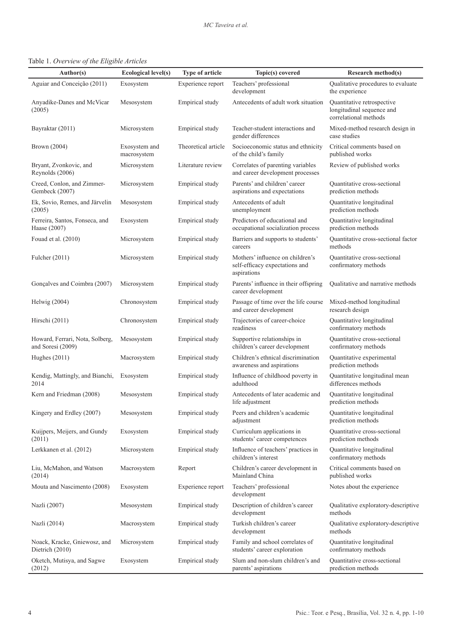Table 1. *Overview of the Eligible Articles*

| Author(s)                                            | <b>Ecological level(s)</b>   | Type of article     | Topic(s) covered                                                                  | <b>Research method(s)</b>                                                        |
|------------------------------------------------------|------------------------------|---------------------|-----------------------------------------------------------------------------------|----------------------------------------------------------------------------------|
| Aguiar and Conceição (2011)                          | Exosystem                    | Experience report   | Teachers' professional<br>development                                             | Qualitative procedures to evaluate<br>the experience                             |
| Anyadike-Danes and McVicar<br>(2005)                 | Mesosystem                   | Empirical study     | Antecedents of adult work situation                                               | Quantitative retrospective<br>longitudinal sequence and<br>correlational methods |
| Bayraktar (2011)                                     | Microsystem                  | Empirical study     | Teacher-student interactions and<br>gender differences                            | Mixed-method research design in<br>case studies                                  |
| Brown (2004)                                         | Exosystem and<br>macrosystem | Theoretical article | Socioeconomic status and ethnicity<br>of the child's family                       | Critical comments based on<br>published works                                    |
| Bryant, Zvonkovic, and<br>Reynolds (2006)            | Microsystem                  | Literature review   | Correlates of parenting variables<br>and career development processes             | Review of published works                                                        |
| Creed, Conlon, and Zimmer-<br>Gembeck (2007)         | Microsystem                  | Empirical study     | Parents' and children' career<br>aspirations and expectations                     | Quantitative cross-sectional<br>prediction methods                               |
| Ek, Sovio, Remes, and Järvelin<br>(2005)             | Mesosystem                   | Empirical study     | Antecedents of adult<br>unemployment                                              | Quantitative longitudinal<br>prediction methods                                  |
| Ferreira, Santos, Fonseca, and<br>Haase (2007)       | Exosystem                    | Empirical study     | Predictors of educational and<br>occupational socialization process               | Quantitative longitudinal<br>prediction methods                                  |
| Fouad et al. (2010)                                  | Microsystem                  | Empirical study     | Barriers and supports to students'<br>careers                                     | Quantitative cross-sectional factor<br>methods                                   |
| Fulcher (2011)                                       | Microsystem                  | Empirical study     | Mothers' influence on children's<br>self-efficacy expectations and<br>aspirations | Quantitative cross-sectional<br>confirmatory methods                             |
| Gonçalves and Coimbra (2007)                         | Microsystem                  | Empirical study     | Parents' influence in their offspring<br>career development                       | Qualitative and narrative methods                                                |
| Helwig $(2004)$                                      | Chronosystem                 | Empirical study     | Passage of time over the life course<br>and career development                    | Mixed-method longitudinal<br>research design                                     |
| Hirschi (2011)                                       | Chronosystem                 | Empirical study     | Trajectories of career-choice<br>readiness                                        | Quantitative longitudinal<br>confirmatory methods                                |
| Howard, Ferrari, Nota, Solberg,<br>and Soresi (2009) | Mesosystem                   | Empirical study     | Supportive relationships in<br>children's career development                      | Quantitative cross-sectional<br>confirmatory methods                             |
| Hughes (2011)                                        | Macrosystem                  | Empirical study     | Children's ethnical discrimination<br>awareness and aspirations                   | Quantitative experimental<br>prediction methods                                  |
| Kendig, Mattingly, and Bianchi,<br>2014              | Exosystem                    | Empirical study     | Influence of childhood poverty in<br>adulthood                                    | Quantitative longitudinal mean<br>differences methods                            |
| Kern and Friedman (2008)                             | Mesosystem                   | Empirical study     | Antecedents of later academic and<br>life adjustment                              | Quantitative longitudinal<br>prediction methods                                  |
| Kingery and Erdley (2007)                            | Mesosystem                   | Empirical study     | Peers and children's academic<br>adjustment                                       | Quantitative longitudinal<br>prediction methods                                  |
| Kuijpers, Meijers, and Gundy<br>(2011)               | Exosystem                    | Empirical study     | Curriculum applications in<br>students' career competences                        | Quantitative cross-sectional<br>prediction methods                               |
| Lerkkanen et al. (2012)                              | Microsystem                  | Empirical study     | Influence of teachers' practices in<br>children's interest                        | Quantitative longitudinal<br>confirmatory methods                                |
| Liu, McMahon, and Watson<br>(2014)                   | Macrosystem                  | Report              | Children's career development in<br>Mainland China                                | Critical comments based on<br>published works                                    |
| Mouta and Nascimento (2008)                          | Exosystem                    | Experience report   | Teachers' professional<br>development                                             | Notes about the experience                                                       |
| Nazli (2007)                                         | Mesosystem                   | Empirical study     | Description of children's career<br>development                                   | Qualitative exploratory-descriptive<br>methods                                   |
| Nazli (2014)                                         | Macrosystem                  | Empirical study     | Turkish children's career<br>development                                          | Qualitative exploratory-descriptive<br>methods                                   |
| Noack, Kracke, Gniewosz, and<br>Dietrich (2010)      | Microsystem                  | Empirical study     | Family and school correlates of<br>students' career exploration                   | Quantitative longitudinal<br>confirmatory methods                                |
| Oketch, Mutisya, and Sagwe<br>(2012)                 | Exosystem                    | Empirical study     | Slum and non-slum children's and<br>parents' aspirations                          | Quantitative cross-sectional<br>prediction methods                               |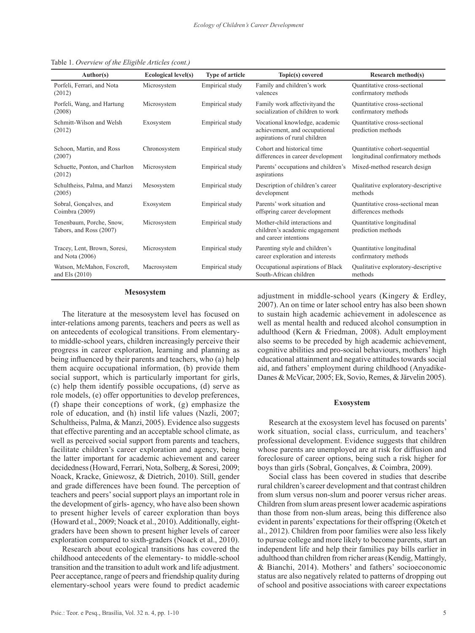Table 1. *Overview of the Eligible Articles (cont.)*

| Author(s)                                           | <b>Ecological level(s)</b> | <b>Type of article</b> | Topic(s) covered                                                                                 | <b>Research method(s)</b>                                           |
|-----------------------------------------------------|----------------------------|------------------------|--------------------------------------------------------------------------------------------------|---------------------------------------------------------------------|
| Porfeli, Ferrari, and Nota<br>(2012)                | Microsystem                | Empirical study        | Family and children's work<br>valences                                                           | Quantitative cross-sectional<br>confirmatory methods                |
| Porfeli, Wang, and Hartung<br>(2008)                | Microsystem                | Empirical study        | Family work affectivity and the<br>socialization of children to work                             | Quantitative cross-sectional<br>confirmatory methods                |
| Schmitt-Wilson and Welsh<br>(2012)                  | Exosystem                  | Empirical study        | Vocational knowledge, academic<br>achievement, and occupational<br>aspirations of rural children | Quantitative cross-sectional<br>prediction methods                  |
| Schoon, Martin, and Ross<br>(2007)                  | Chronosystem               | Empirical study        | Cohort and historical time<br>differences in career development                                  | Quantitative cohort-sequential<br>longitudinal confirmatory methods |
| Schuette, Ponton, and Charlton<br>(2012)            | Microsystem                | Empirical study        | Parents' occupations and children's<br>aspirations                                               | Mixed-method research design                                        |
| Schultheiss, Palma, and Manzi<br>(2005)             | Mesosystem                 | Empirical study        | Description of children's career<br>development                                                  | Qualitative exploratory-descriptive<br>methods                      |
| Sobral, Gonçalves, and<br>Coimbra (2009)            | Exosystem                  | Empirical study        | Parents' work situation and<br>offspring career development                                      | Quantitative cross-sectional mean<br>differences methods            |
| Tenenbaum, Porche, Snow,<br>Tabors, and Ross (2007) | Microsystem                | Empirical study        | Mother-child interactions and<br>children's academic engagement<br>and career intentions         | Quantitative longitudinal<br>prediction methods                     |
| Tracey, Lent, Brown, Soresi,<br>and Nota $(2006)$   | Microsystem                | Empirical study        | Parenting style and children's<br>career exploration and interests                               | Quantitative longitudinal<br>confirmatory methods                   |
| Watson, McMahon, Foxcroft,<br>and Els $(2010)$      | Macrosystem                | Empirical study        | Occupational aspirations of Black<br>South-African children                                      | Qualitative exploratory-descriptive<br>methods                      |

#### **Mesosystem**

The literature at the mesosystem level has focused on inter-relations among parents, teachers and peers as well as on antecedents of ecological transitions. From elementaryto middle-school years, children increasingly perceive their progress in career exploration, learning and planning as being influenced by their parents and teachers, who (a) help them acquire occupational information, (b) provide them social support, which is particularly important for girls, (c) help them identify possible occupations, (d) serve as role models, (e) offer opportunities to develop preferences, (f) shape their conceptions of work, (g) emphasize the role of education, and (h) instil life values (Nazli, 2007; Schultheiss, Palma, & Manzi, 2005). Evidence also suggests that effective parenting and an acceptable school climate, as well as perceived social support from parents and teachers, facilitate children's career exploration and agency, being the latter important for academic achievement and career decidedness (Howard, Ferrari, Nota, Solberg, & Soresi, 2009; Noack, Kracke, Gniewosz, & Dietrich, 2010). Still, gender and grade differences have been found. The perception of teachers and peers' social support plays an important role in the development of girls- agency, who have also been shown to present higher levels of career exploration than boys (Howard et al., 2009; Noack et al., 2010). Additionally, eightgraders have been shown to present higher levels of career exploration compared to sixth-graders (Noack et al., 2010).

Research about ecological transitions has covered the childhood antecedents of the elementary- to middle-school transition and the transition to adult work and life adjustment. Peer acceptance, range of peers and friendship quality during elementary-school years were found to predict academic

Psic.: Teor. e Pesq., Brasília, Vol. 32 n. 4, pp. 1-10 5

adjustment in middle-school years (Kingery & Erdley, 2007). An on time or later school entry has also been shown to sustain high academic achievement in adolescence as well as mental health and reduced alcohol consumption in adulthood (Kern & Friedman, 2008). Adult employment also seems to be preceded by high academic achievement, cognitive abilities and pro-social behaviours, mothers' high educational attainment and negative attitudes towards social aid, and fathers' employment during childhood (Anyadike-Danes & McVicar, 2005; Ek, Sovio, Remes, & Järvelin 2005).

#### **Exosystem**

Research at the exosystem level has focused on parents' work situation, social class, curriculum, and teachers' professional development. Evidence suggests that children whose parents are unemployed are at risk for diffusion and foreclosure of career options, being such a risk higher for boys than girls (Sobral, Gonçalves, & Coimbra, 2009).

Social class has been covered in studies that describe rural children's career development and that contrast children from slum versus non-slum and poorer versus richer areas. Children from slum areas present lower academic aspirations than those from non-slum areas, being this difference also evident in parents' expectations for their offspring (Oketch et al., 2012). Children from poor families were also less likely to pursue college and more likely to become parents, start an independent life and help their families pay bills earlier in adulthood than children from richer areas (Kendig, Mattingly, & Bianchi, 2014). Mothers' and fathers' socioeconomic status are also negatively related to patterns of dropping out of school and positive associations with career expectations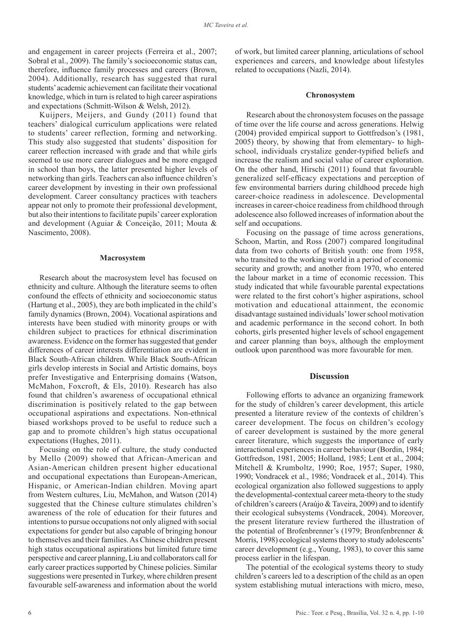and engagement in career projects (Ferreira et al., 2007; Sobral et al., 2009). The family's socioeconomic status can, therefore, influence family processes and careers (Brown, 2004). Additionally, research has suggested that rural students' academic achievement can facilitate their vocational knowledge, which in turn is related to high career aspirations and expectations (Schmitt-Wilson & Welsh, 2012).

Kuijpers, Meijers, and Gundy (2011) found that teachers' dialogical curriculum applications were related to students' career reflection, forming and networking. This study also suggested that students' disposition for career reflection increased with grade and that while girls seemed to use more career dialogues and be more engaged in school than boys, the latter presented higher levels of networking than girls. Teachers can also influence children's career development by investing in their own professional development. Career consultancy practices with teachers appear not only to promote their professional development, but also their intentions to facilitate pupils' career exploration and development (Aguiar & Conceição, 2011; Mouta & Nascimento, 2008).

#### **Macrosystem**

Research about the macrosystem level has focused on ethnicity and culture. Although the literature seems to often confound the effects of ethnicity and socioeconomic status (Hartung et al., 2005), they are both implicated in the child's family dynamics (Brown, 2004). Vocational aspirations and interests have been studied with minority groups or with children subject to practices for ethnical discrimination awareness. Evidence on the former has suggested that gender differences of career interests differentiation are evident in Black South-African children. While Black South-African girls develop interests in Social and Artistic domains, boys prefer Investigative and Enterprising domains (Watson, McMahon, Foxcroft, & Els, 2010). Research has also found that children's awareness of occupational ethnical discrimination is positively related to the gap between occupational aspirations and expectations. Non-ethnical biased workshops proved to be useful to reduce such a gap and to promote children's high status occupational expectations (Hughes, 2011).

Focusing on the role of culture, the study conducted by Mello (2009) showed that African-American and Asian-American children present higher educational and occupational expectations than European-American, Hispanic, or American-Indian children. Moving apart from Western cultures, Liu, McMahon, and Watson (2014) suggested that the Chinese culture stimulates children's awareness of the role of education for their futures and intentions to pursue occupations not only aligned with social expectations for gender but also capable of bringing honour to themselves and their families. As Chinese children present high status occupational aspirations but limited future time perspective and career planning, Liu and collaborators call for early career practices supported by Chinese policies. Similar suggestions were presented in Turkey, where children present favourable self-awareness and information about the world of work, but limited career planning, articulations of school experiences and careers, and knowledge about lifestyles related to occupations (Nazli, 2014).

#### **Chronosystem**

Research about the chronosystem focuses on the passage of time over the life course and across generations. Helwig (2004) provided empirical support to Gottfredson's (1981, 2005) theory, by showing that from elementary- to highschool, individuals crystalize gender-typified beliefs and increase the realism and social value of career exploration. On the other hand, Hirschi (2011) found that favourable generalized self-efficacy expectations and perception of few environmental barriers during childhood precede high career-choice readiness in adolescence. Developmental increases in career-choice readiness from childhood through adolescence also followed increases of information about the self and occupations.

Focusing on the passage of time across generations, Schoon, Martin, and Ross (2007) compared longitudinal data from two cohorts of British youth: one from 1958, who transited to the working world in a period of economic security and growth; and another from 1970, who entered the labour market in a time of economic recession. This study indicated that while favourable parental expectations were related to the first cohort's higher aspirations, school motivation and educational attainment, the economic disadvantage sustained individuals' lower school motivation and academic performance in the second cohort. In both cohorts, girls presented higher levels of school engagement and career planning than boys, although the employment outlook upon parenthood was more favourable for men.

### **Discussion**

Following efforts to advance an organizing framework for the study of children's career development, this article presented a literature review of the contexts of children's career development. The focus on children's ecology of career development is sustained by the more general career literature, which suggests the importance of early interactional experiences in career behaviour (Bordin, 1984; Gottfredson, 1981, 2005; Holland, 1985; Lent et al., 2004; Mitchell & Krumboltz, 1990; Roe, 1957; Super, 1980, 1990; Vondracek et al., 1986; Vondracek et al., 2014). This ecological organization also followed suggestions to apply the developmental-contextual career meta-theory to the study of children's careers (Araújo & Taveira, 2009) and to identify their ecological subsystems (Vondracek, 2004). Moreover, the present literature review furthered the illustration of the potential of Brofenbrenner's (1979; Bronfenbrenner & Morris, 1998) ecological systems theory to study adolescents' career development (e.g., Young, 1983), to cover this same process earlier in the lifespan.

The potential of the ecological systems theory to study children's careers led to a description of the child as an open system establishing mutual interactions with micro, meso,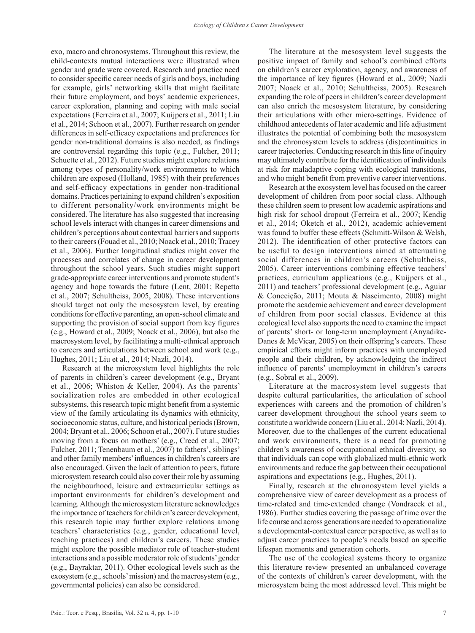exo, macro and chronosystems. Throughout this review, the child-contexts mutual interactions were illustrated when gender and grade were covered. Research and practice need to consider specific career needs of girls and boys, including for example, girls' networking skills that might facilitate their future employment, and boys' academic experiences, career exploration, planning and coping with male social expectations (Ferreira et al., 2007; Kuijpers et al., 2011; Liu et al., 2014; Schoon et al., 2007). Further research on gender differences in self-efficacy expectations and preferences for gender non-traditional domains is also needed, as findings are controversial regarding this topic (e.g., Fulcher, 2011; Schuette et al., 2012). Future studies might explore relations among types of personality/work environments to which children are exposed (Holland, 1985) with their preferences and self-efficacy expectations in gender non-traditional domains. Practices pertaining to expand children's exposition to different personality/work environments might be considered. The literature has also suggested that increasing school levels interact with changes in career dimensions and children's perceptions about contextual barriers and supports to their careers (Fouad et al., 2010; Noack et al., 2010; Tracey et al., 2006). Further longitudinal studies might cover the processes and correlates of change in career development throughout the school years. Such studies might support grade-appropriate career interventions and promote student's agency and hope towards the future (Lent, 2001; Repetto et al., 2007; Schultheiss, 2005, 2008). These interventions should target not only the mesosystem level, by creating conditions for effective parenting, an open-school climate and supporting the provision of social support from key figures (e.g., Howard et al., 2009; Noack et al., 2006), but also the macrosystem level, by facilitating a multi-ethnical approach to careers and articulations between school and work (e.g., Hughes, 2011; Liu et al., 2014; Nazli, 2014).

Research at the microsystem level highlights the role of parents in children's career development (e.g., Bryant et al., 2006; Whiston & Keller, 2004). As the parents' socialization roles are embedded in other ecological subsystems, this research topic might benefit from a systemic view of the family articulating its dynamics with ethnicity, socioeconomic status, culture, and historical periods (Brown, 2004; Bryant et al., 2006; Schoon et al., 2007). Future studies moving from a focus on mothers' (e.g., Creed et al., 2007; Fulcher, 2011; Tenenbaum et al., 2007) to fathers', siblings' and other family members' influences in children's careers are also encouraged. Given the lack of attention to peers, future microsystem research could also cover their role by assuming the neighbourhood, leisure and extracurricular settings as important environments for children's development and learning. Although the microsystem literature acknowledges the importance of teachers for children's career development, this research topic may further explore relations among teachers' characteristics (e.g., gender, educational level, teaching practices) and children's careers. These studies might explore the possible mediator role of teacher-student interactions and a possible moderator role of students' gender (e.g., Bayraktar, 2011). Other ecological levels such as the exosystem (e.g., schools' mission) and the macrosystem (e.g., governmental policies) can also be considered.

The literature at the mesosystem level suggests the positive impact of family and school's combined efforts on children's career exploration, agency, and awareness of the importance of key figures (Howard et al., 2009; Nazli 2007; Noack et al., 2010; Schultheiss, 2005). Research expanding the role of peers in children's career development can also enrich the mesosystem literature, by considering their articulations with other micro-settings. Evidence of childhood antecedents of later academic and life adjustment illustrates the potential of combining both the mesosystem and the chronosystem levels to address (dis)continuities in career trajectories. Conducting research in this line of inquiry may ultimately contribute for the identification of individuals at risk for maladaptive coping with ecological transitions, and who might benefit from preventive career interventions.

Research at the exosystem level has focused on the career development of children from poor social class. Although these children seem to present low academic aspirations and high risk for school dropout (Ferreira et al., 2007; Kendig et al., 2014; Oketch et al., 2012), academic achievement was found to buffer these effects (Schmitt-Wilson & Welsh, 2012). The identification of other protective factors can be useful to design interventions aimed at attenuating social differences in children's careers (Schultheiss, 2005). Career interventions combining effective teachers' practices, curriculum applications (e.g., Kuijpers et al., 2011) and teachers' professional development (e.g., Aguiar & Conceição, 2011; Mouta & Nascimento, 2008) might promote the academic achievement and career development of children from poor social classes. Evidence at this ecological level also supports the need to examine the impact of parents' short- or long-term unemployment (Anyadike-Danes & McVicar, 2005) on their offspring's careers. These empirical efforts might inform practices with unemployed people and their children, by acknowledging the indirect influence of parents' unemployment in children's careers (e.g., Sobral et al., 2009).

Literature at the macrosystem level suggests that despite cultural particularities, the articulation of school experiences with careers and the promotion of children's career development throughout the school years seem to constitute a worldwide concern (Liu et al., 2014; Nazli, 2014). Moreover, due to the challenges of the current educational and work environments, there is a need for promoting children's awareness of occupational ethnical diversity, so that individuals can cope with globalized multi-ethnic work environments and reduce the gap between their occupational aspirations and expectations (e.g., Hughes, 2011).

Finally, research at the chronosystem level yields a comprehensive view of career development as a process of time-related and time-extended change (Vondracek et al., 1986). Further studies covering the passage of time over the life course and across generations are needed to operationalize a developmental-contextual career perspective, as well as to adjust career practices to people's needs based on specific lifespan moments and generation cohorts.

The use of the ecological systems theory to organize this literature review presented an unbalanced coverage of the contexts of children's career development, with the microsystem being the most addressed level. This might be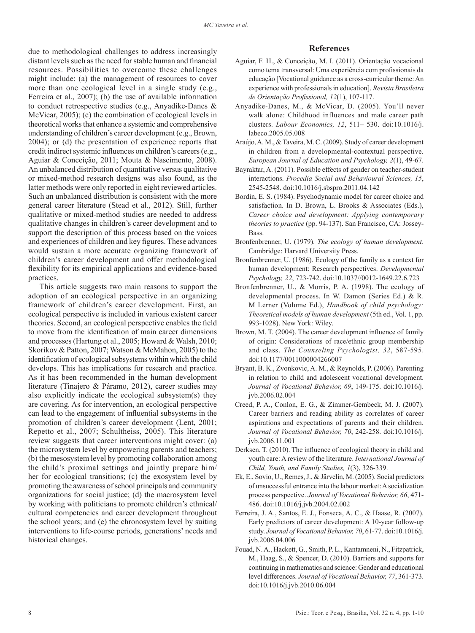due to methodological challenges to address increasingly distant levels such as the need for stable human and financial resources. Possibilities to overcome these challenges might include: (a) the management of resources to cover more than one ecological level in a single study (e.g., Ferreira et al., 2007); (b) the use of available information to conduct retrospective studies (e.g., Anyadike-Danes & McVicar, 2005); (c) the combination of ecological levels in theoretical works that enhance a systemic and comprehensive understanding of children's career development (e.g., Brown, 2004); or (d) the presentation of experience reports that credit indirect systemic influences on children's careers (e.g., Aguiar & Conceição, 2011; Mouta & Nascimento, 2008). An unbalanced distribution of quantitative versus qualitative or mixed-method research designs was also found, as the latter methods were only reported in eight reviewed articles. Such an unbalanced distribution is consistent with the more general career literature (Stead et al., 2012). Still, further qualitative or mixed-method studies are needed to address qualitative changes in children's career development and to support the description of this process based on the voices and experiences of children and key figures. These advances would sustain a more accurate organizing framework of children's career development and offer methodological flexibility for its empirical applications and evidence-based practices.

This article suggests two main reasons to support the adoption of an ecological perspective in an organizing framework of children's career development. First, an ecological perspective is included in various existent career theories. Second, an ecological perspective enables the field to move from the identification of main career dimensions and processes (Hartung et al., 2005; Howard & Walsh, 2010; Skorikov & Patton, 2007; Watson & McMahon, 2005) to the identification of ecological subsystems within which the child develops. This has implications for research and practice. As it has been recommended in the human development literature (Tinajero & Páramo, 2012), career studies may also explicitly indicate the ecological subsystem(s) they are covering. As for intervention, an ecological perspective can lead to the engagement of influential subsystems in the promotion of children's career development (Lent, 2001; Repetto et al., 2007; Schultheiss, 2005). This literature review suggests that career interventions might cover: (a) the microsystem level by empowering parents and teachers; (b) the mesosystem level by promoting collaboration among the child's proximal settings and jointly prepare him/ her for ecological transitions; (c) the exosystem level by promoting the awareness of school principals and community organizations for social justice; (d) the macrosystem level by working with politicians to promote children's ethnical/ cultural competencies and career development throughout the school years; and (e) the chronosystem level by suiting interventions to life-course periods, generations' needs and historical changes.

## **References**

- Aguiar, F. H., & Conceição, M. I. (2011). Orientação vocacional como tema transversal: Uma experiência com profissionais da educação [Vocational guidance as a cross-curricular theme: An experience with professionals in education]. *Revista Brasileira de Orientação Profissional, 12*(1), 107-117.
- Anyadike-Danes, M., & McVicar, D. (2005). You'll never walk alone: Childhood influences and male career path clusters. *Labour Economics, 12*, 511– 530. doi:10.1016/j. labeco.2005.05.008
- Araújo, A. M., & Taveira, M. C. (2009). Study of career development in children from a developmental-contextual perspective. *European Journal of Education and Psychology, 2*(1), 49-67.
- Bayraktar, A. (2011). Possible effects of gender on teacher-student interactions. *Procedia Social and Behavioural Sciences, 15*, 2545-2548. doi:10.1016/j.sbspro.2011.04.142
- Bordin, E. S. (1984). Psychodynamic model for career choice and satisfaction. In D. Brown, L. Brooks & Associates (Eds.), *Career choice and development: Applying contemporary theories to practice* (pp. 94-137). San Francisco, CA: Jossey-Bass.
- Bronfenbrenner, U. (1979). *The ecology of human development*. Cambridge: Harvard University Press.
- Bronfenbrenner, U. (1986). Ecology of the family as a context for human development: Research perspectives. *Developmental Psychology, 22*, 723-742. doi:10.1037//0012-1649.22.6.723
- Bronfenbrenner, U., & Morris, P. A. (1998). The ecology of developmental process. In W. Damon (Series Ed.) & R. M Lerner (Volume Ed.), *Handbook of child psychology: Theoretical models of human development* (5th ed., Vol. 1, pp. 993-1028). New York: Wiley.
- Brown, M. T. (2004). The career development influence of family of origin: Considerations of race/ethnic group membership and class. *The Counseling Psychologist, 32*, 587-595. doi:10.1177/0011000004266007
- Bryant, B. K., Zvonkovic, A. M., & Reynolds, P. (2006). Parenting in relation to child and adolescent vocational development. *Journal of Vocational Behavior, 69*, 149-175. doi:10.1016/j. jvb.2006.02.004
- Creed, P. A., Conlon, E. G., & Zimmer-Gembeck, M. J. (2007). Career barriers and reading ability as correlates of career aspirations and expectations of parents and their children. *Journal of Vocational Behavior, 70*, 242-258. doi:10.1016/j. jvb.2006.11.001
- Derksen, T. (2010). The influence of ecological theory in child and youth care: A review of the literature. *International Journal of Child, Youth, and Family Studies, 1*(3), 326-339.
- Ek, E., Sovio, U., Remes, J., & Järvelin, M. (2005). Social predictors of unsuccessful entrance into the labour market: A socialization process perspective. *Journal of Vocational Behavior, 66*, 471- 486. doi:10.1016/j.jvb.2004.02.002
- Ferreira, J. A., Santos, E. J., Fonseca, A. C., & Haase, R. (2007). Early predictors of career development: A 10-year follow-up study. *Journal of Vocational Behavior, 70*, 61-77. doi:10.1016/j. jvb.2006.04.006
- Fouad, N. A., Hackett, G., Smith, P. L., Kantamneni, N., Fitzpatrick, M., Haag, S., & Spencer, D. (2010). Barriers and supports for continuing in mathematics and science: Gender and educational level differences. *Journal of Vocational Behavior, 77*, 361-373. doi:10.1016/j.jvb.2010.06.004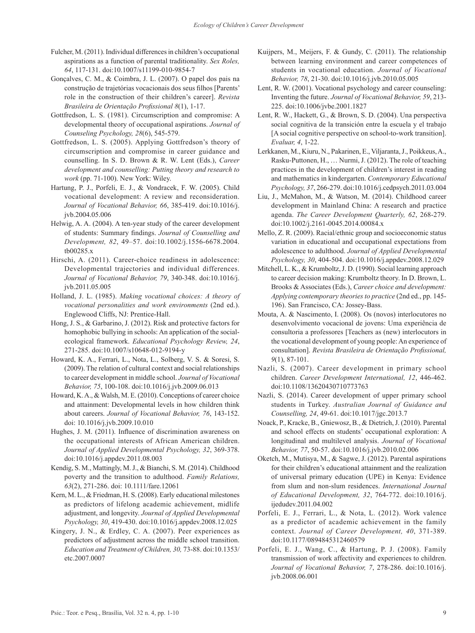- Fulcher, M. (2011). Individual differences in children's occupational aspirations as a function of parental traditionality. *Sex Roles, 64*, 117-131. doi:10.1007/s11199-010-9854-7
- Gonçalves, C. M., & Coimbra, J. L. (2007). O papel dos pais na construção de trajetórias vocacionais dos seus filhos [Parents' role in the construction of their children's career]. *Revista Brasileira de Orientação Profissional 8*(1), 1-17.
- Gottfredson, L. S. (1981). Circumscription and compromise: A developmental theory of occupational aspirations. *Journal of Counseling Psychology, 28*(6), 545-579.
- Gottfredson, L. S. (2005). Applying Gottfredson's theory of circumscription and compromise in career guidance and counselling. In S. D. Brown & R. W. Lent (Eds.), *Career development and counselling: Putting theory and research to work* (pp. 71-100). New York: Wiley.
- Hartung, P. J., Porfeli, E. J., & Vondracek, F. W. (2005). Child vocational development: A review and reconsideration. *Journal of Vocational Behavior, 66*, 385-419. doi:10.1016/j. jvb.2004.05.006
- Helwig, A. A. (2004). A ten-year study of the career development of students: Summary findings. *Journal of Counselling and Development, 82*, 49–57. doi:10.1002/j.1556-6678.2004. tb00285.x
- Hirschi, A. (2011). Career-choice readiness in adolescence: Developmental trajectories and individual differences. *Journal of Vocational Behavior, 79*, 340-348. doi:10.1016/j. jvb.2011.05.005
- Holland, J. L. (1985). *Making vocational choices: A theory of vocational personalities and work environments* (2nd ed.). Englewood Cliffs, NJ: Prentice-Hall.
- Hong, J. S., & Garbarino, J. (2012). Risk and protective factors for homophobic bullying in schools: An application of the socialecological framework. *Educational Psychology Review, 24*, 271-285. doi:10.1007/s10648-012-9194-y
- Howard, K. A., Ferrari, L., Nota, L., Solberg, V. S. & Soresi, S. (2009). The relation of cultural context and social relationships to career development in middle school. *Journal of Vocational Behavior, 75*, 100-108. doi:10.1016/j.jvb.2009.06.013
- Howard, K. A., & Walsh, M. E. (2010). Conceptions of career choice and attainment: Developmental levels in how children think about careers. *Journal of Vocational Behavior, 76*, 143-152. doi: 10.1016/j.jvb.2009.10.010
- Hughes, J. M. (2011). Influence of discrimination awareness on the occupational interests of African American children. *Journal of Applied Developmental Psychology, 32*, 369-378. doi:10.1016/j.appdev.2011.08.003
- Kendig, S. M., Mattingly, M. J., & Bianchi, S. M. (2014). Childhood poverty and the transition to adulthood. *Family Relations, 63*(2), 271-286. doi: 10.1111/fare.12061
- Kern, M. L., & Friedman, H. S. (2008). Early educational milestones as predictors of lifelong academic achievement, midlife adjustment, and longevity. *Journal of Applied Developmental Psychology, 30*, 419-430. doi:10.1016/j.appdev.2008.12.025
- Kingery, J. N., & Erdley, C. A. (2007). Peer experiences as predictors of adjustment across the middle school transition. *Education and Treatment of Children, 30,* 73-88. doi:10.1353/ etc.2007.0007
- Kuijpers, M., Meijers, F. & Gundy, C. (2011). The relationship between learning environment and career competences of students in vocational education. *Journal of Vocational Behavior, 78*, 21-30. doi:10.1016/j.jvb.2010.05.005
- Lent, R. W. (2001). Vocational psychology and career counseling: Inventing the future. *Journal of Vocational Behavior, 59*, 213- 225. doi:10.1006/jvbe.2001.1827
- Lent, R. W., Hackett, G., & Brown, S. D. (2004). Una perspectiva social cognitiva de la transición entre la escuela y el trabajo [A social cognitive perspective on school-to-work transition]. *Evaluar, 4*, 1-22.
- Lerkkanen, M., Kiuru, N., Pakarinen, E., Viljaranta, J., Poikkeus, A., Rasku-Puttonen, H., … Nurmi, J. (2012). The role of teaching practices in the development of children's interest in reading and mathematics in kindergarten. *Contemporary Educational Psychology, 37*, 266-279. doi:10.1016/j.cedpsych.2011.03.004
- Liu, J., McMahon, M., & Watson, M. (2014). Childhood career development in Mainland China: A research and practice agenda. *The Career Development Quarterly, 62*, 268-279. doi:10.1002/j.2161-0045.2014.00084.x
- Mello, Z. R. (2009). Racial/ethnic group and socioeconomic status variation in educational and occupational expectations from adolescence to adulthood. *Journal of Applied Developmental Psychology, 30*, 404-504. doi:10.1016/j.appdev.2008.12.029
- Mitchell, L. K., & Krumboltz, J. D. (1990). Social learning approach to career decision making: Krumboltz theory. In D. Brown, L. Brooks & Associates (Eds.), *Career choice and development: Applying contemporary theories to practice* (2nd ed., pp. 145- 196). San Francisco, CA: Jossey-Bass.
- Mouta, A. & Nascimento, I. (2008). Os (novos) interlocutores no desenvolvimento vocacional de jovens: Uma experiência de consultoria a professores [Teachers as (new) interlocutors in the vocational development of young people: An experience of consultation]. *Revista Brasileira de Orientação Profissional, 9*(1), 87-101.
- Nazli, S. (2007). Career development in primary school children. *Career Development International, 12*, 446-462. doi:10.1108/13620430710773763
- Nazli, S. (2014). Career development of upper primary school students in Turkey. *Australian Journal of Guidance and Counselling, 24*, 49-61. doi:10.1017/jgc.2013.7
- Noack, P., Kracke, B., Gniewosz, B., & Dietrich, J. (2010). Parental and school effects on students' occupational exploration: A longitudinal and multilevel analysis. *Journal of Vocational Behavior, 77*, 50-57. doi:10.1016/j.jvb.2010.02.006
- Oketch, M., Mutisya, M., & Sagwe, J. (2012). Parental aspirations for their children's educational attainment and the realization of universal primary education (UPE) in Kenya: Evidence from slum and non-slum residences. *International Journal of Educational Development, 32*, 764-772. doi:10.1016/j. ijedudev.2011.04.002
- Porfeli, E. J., Ferrari, L., & Nota, L. (2012). Work valence as a predictor of academic achievement in the family context. *Journal of Career Development, 40*, 371-389. doi:10.1177/0894845312460579
- Porfeli, E. J., Wang, C., & Hartung, P. J. (2008). Family transmission of work affectivity and experiences to children. *Journal of Vocational Behavior, 7*, 278-286. doi:10.1016/j. jvb.2008.06.001